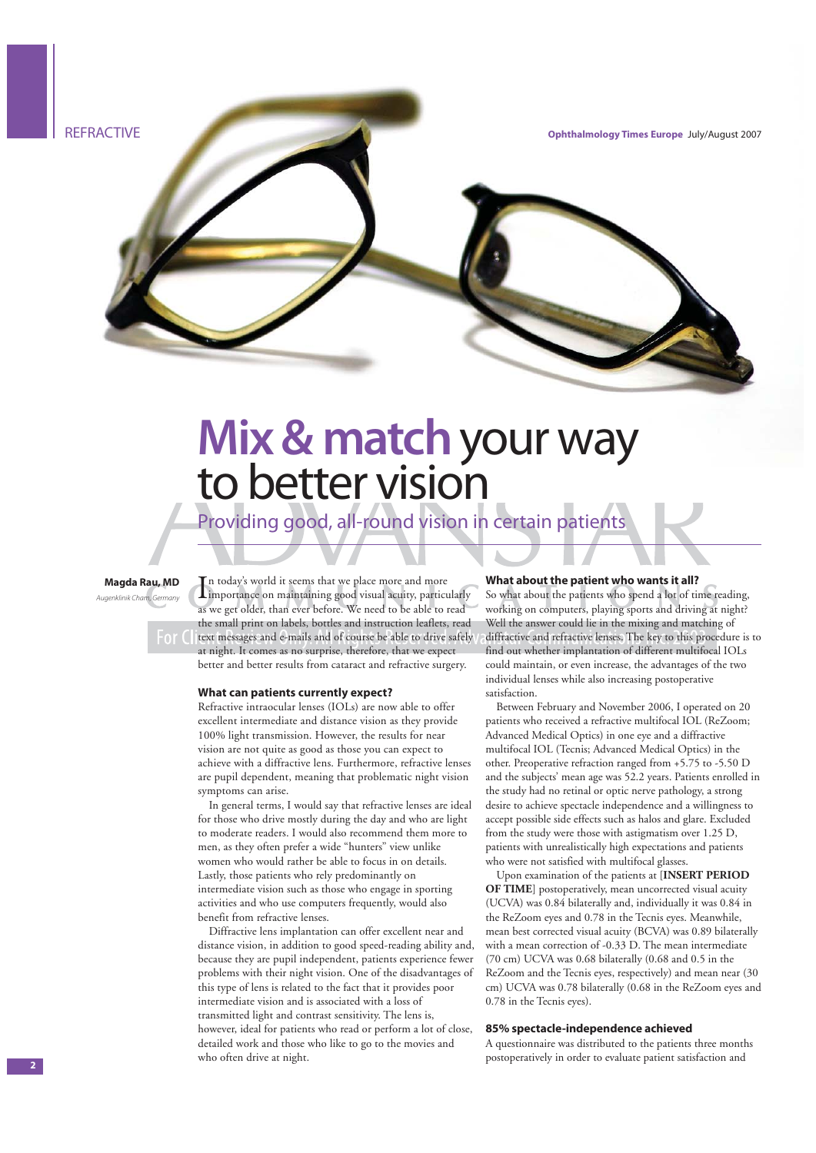

# **Mix & match** your way to better vision

Providing good, all-round vision in certain patients

#### **Magda Rau, MD**

Augenklinik Cham, Car

In today's world it seems that we place more and more<br>Limportance on maintaining good visual acuity, particularly n today's world it seems that we place more and more as we get older, than ever before. We need to be able to read the small print on labels, bottles and instruction leaflets, read  $t \in \mathbb{R}$  text messages and e-mails and of course be able to drive safely at night. It comes as no surprise, therefore, that we expect better and better results from cataract and refractive surgery.

#### **What can patients currently expect?**

Refractive intraocular lenses (IOLs) are now able to offer excellent intermediate and distance vision as they provide 100% light transmission. However, the results for near vision are not quite as good as those you can expect to achieve with a diffractive lens. Furthermore, refractive lenses are pupil dependent, meaning that problematic night vision symptoms can arise.

In general terms, I would say that refractive lenses are ideal for those who drive mostly during the day and who are light to moderate readers. I would also recommend them more to men, as they often prefer a wide "hunters" view unlike women who would rather be able to focus in on details. Lastly, those patients who rely predominantly on intermediate vision such as those who engage in sporting activities and who use computers frequently, would also benefit from refractive lenses.

Diffractive lens implantation can offer excellent near and distance vision, in addition to good speed-reading ability and, because they are pupil independent, patients experience fewer problems with their night vision. One of the disadvantages of this type of lens is related to the fact that it provides poor intermediate vision and is associated with a loss of transmitted light and contrast sensitivity. The lens is, however, ideal for patients who read or perform a lot of close, detailed work and those who like to go to the movies and who often drive at night.

#### **What about the patient who wants it all?**

So what about the patients who spend a lot of time reading, working on computers, playing sports and driving at night? Well the answer could lie in the mixing and matching of diffractive and refractive lenses. The key to this procedure is to find out whether implantation of different multifocal IOLs could maintain, or even increase, the advantages of the two individual lenses while also increasing postoperative satisfaction.

Between February and November 2006, I operated on 20 patients who received a refractive multifocal IOL (ReZoom; Advanced Medical Optics) in one eye and a diffractive multifocal IOL (Tecnis; Advanced Medical Optics) in the other. Preoperative refraction ranged from +5.75 to -5.50 D and the subjects' mean age was 52.2 years. Patients enrolled in the study had no retinal or optic nerve pathology, a strong desire to achieve spectacle independence and a willingness to accept possible side effects such as halos and glare. Excluded from the study were those with astigmatism over 1.25 D, patients with unrealistically high expectations and patients who were not satisfied with multifocal glasses.

Upon examination of the patients at [**INSERT PERIOD OF TIME**] postoperatively, mean uncorrected visual acuity (UCVA) was 0.84 bilaterally and, individually it was 0.84 in the ReZoom eyes and 0.78 in the Tecnis eyes. Meanwhile, mean best corrected visual acuity (BCVA) was 0.89 bilaterally with a mean correction of -0.33 D. The mean intermediate (70 cm) UCVA was 0.68 bilaterally (0.68 and 0.5 in the ReZoom and the Tecnis eyes, respectively) and mean near (30 cm) UCVA was 0.78 bilaterally (0.68 in the ReZoom eyes and 0.78 in the Tecnis eyes).

#### **85% spectacle-independence achieved**

A questionnaire was distributed to the patients three months postoperatively in order to evaluate patient satisfaction and